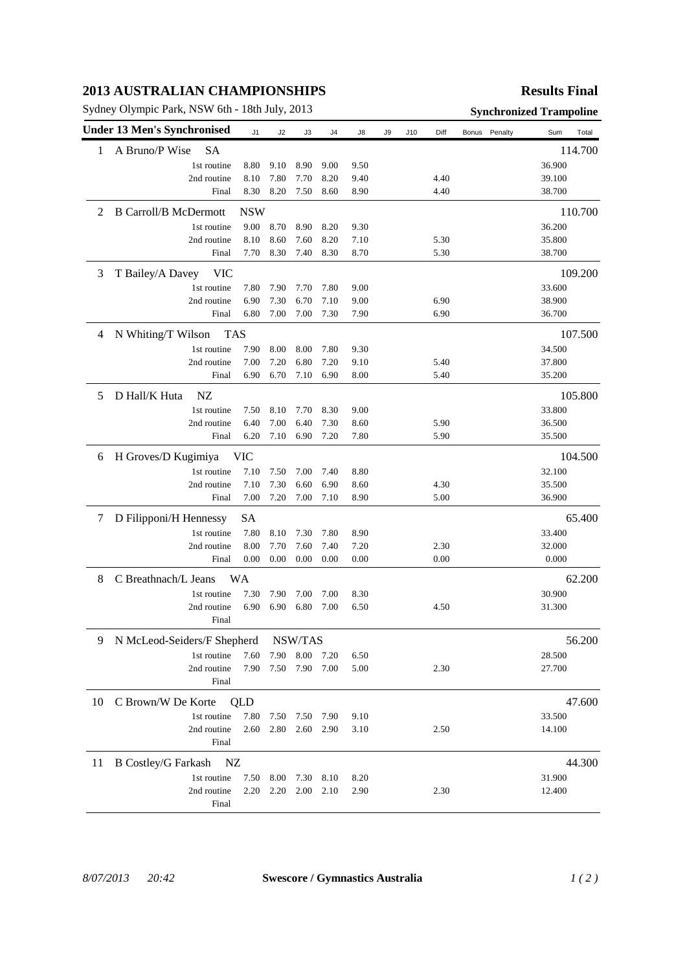## **2013 AUSTRALIAN CHAMPIONSHIPS**

Sydney Olympic Park, NSW 6th - 18th July, 2013 **Synchronized Trampoline**

## **Results Final**

|    | <b>Under 13 Men's Synchronised</b> | J1         | J2      | J3       | J4   | J8   | J9 | J10 | Diff | Bonus Penalty |         | Sum<br>Total |
|----|------------------------------------|------------|---------|----------|------|------|----|-----|------|---------------|---------|--------------|
| 1  | A Bruno/P Wise<br><b>SA</b>        |            |         |          |      |      |    |     |      |               |         | 114.700      |
|    | 1st routine                        | 8.80       | 9.10    | 8.90     | 9.00 | 9.50 |    |     |      |               |         | 36.900       |
|    | 2nd routine                        | 8.10       | 7.80    | 7.70     | 8.20 | 9.40 |    |     | 4.40 |               |         | 39.100       |
|    | Final                              | 8.30       | 8.20    | 7.50     | 8.60 | 8.90 |    |     | 4.40 |               |         | 38.700       |
| 2  | <b>B Carroll/B McDermott</b>       | <b>NSW</b> |         |          |      |      |    |     |      |               |         | 110.700      |
|    | 1st routine                        | 9.00       | 8.70    | 8.90     | 8.20 | 9.30 |    |     |      |               |         | 36.200       |
|    | 2nd routine                        | 8.10       | 8.60    | 7.60     | 8.20 | 7.10 |    |     | 5.30 |               |         | 35.800       |
|    | Final                              | 7.70       | 8.30    | 7.40     | 8.30 | 8.70 |    |     | 5.30 |               |         | 38.700       |
| 3  | T Bailey/A Davey<br><b>VIC</b>     |            |         |          |      |      |    |     |      |               |         | 109.200      |
|    | 1st routine                        | 7.80       | 7.90    | 7.70     | 7.80 | 9.00 |    |     |      |               |         | 33.600       |
|    | 2nd routine                        | 6.90       | 7.30    | 6.70     | 7.10 | 9.00 |    |     | 6.90 |               |         | 38.900       |
|    | Final                              | 6.80       | 7.00    | $7.00\,$ | 7.30 | 7.90 |    |     | 6.90 |               |         | 36.700       |
| 4  | N Whiting/T Wilson<br><b>TAS</b>   |            |         |          |      |      |    |     |      |               | 107.500 |              |
|    | 1st routine                        | 7.90       | 8.00    | 8.00     | 7.80 | 9.30 |    |     |      |               |         | 34.500       |
|    | 2nd routine                        | 7.00       | 7.20    | 6.80     | 7.20 | 9.10 |    |     | 5.40 |               |         | 37.800       |
|    | Final                              | 6.90       | 6.70    | 7.10     | 6.90 | 8.00 |    |     | 5.40 |               |         | 35.200       |
| 5  | D Hall/K Huta<br>NZ                |            |         |          |      |      |    |     |      |               |         | 105.800      |
|    | 1st routine                        | 7.50       | 8.10    | 7.70     | 8.30 | 9.00 |    |     |      |               |         | 33.800       |
|    | 2nd routine                        | 6.40       | 7.00    | 6.40     | 7.30 | 8.60 |    |     | 5.90 |               |         | 36.500       |
|    | Final                              | 6.20       | 7.10    | 6.90     | 7.20 | 7.80 |    |     | 5.90 |               |         | 35.500       |
| 6  | H Groves/D Kugimiya                | <b>VIC</b> |         |          |      |      |    |     |      |               |         | 104.500      |
|    | 1st routine                        | 7.10       | 7.50    | 7.00     | 7.40 | 8.80 |    |     |      |               |         | 32.100       |
|    | 2nd routine                        | 7.10       | 7.30    | 6.60     | 6.90 | 8.60 |    |     | 4.30 |               |         | 35.500       |
|    | Final                              | 7.00       | 7.20    | 7.00     | 7.10 | 8.90 |    |     | 5.00 |               |         | 36.900       |
| 7  | D Filipponi/H Hennessy             | SА         |         |          |      |      |    |     |      |               |         | 65.400       |
|    | 1st routine                        | 7.80       | 8.10    | 7.30     | 7.80 | 8.90 |    |     |      |               |         | 33.400       |
|    | 2nd routine                        | 8.00       | 7.70    | 7.60     | 7.40 | 7.20 |    |     | 2.30 |               |         | 32.000       |
|    | Final                              | 0.00       | 0.00    | 0.00     | 0.00 | 0.00 |    |     | 0.00 |               |         | 0.000        |
| 8  | C Breathnach/L Jeans<br>WА         |            |         |          |      |      |    |     |      | 62.200        |         |              |
|    | 1st routine                        | 7.30       | 7.90    | 7.00     | 7.00 | 8.30 |    |     |      |               |         | 30.900       |
|    | 2nd routine                        | 6.90       | 6.90    | 6.80     | 7.00 | 6.50 |    |     | 4.50 |               |         | 31.300       |
|    | Final                              |            |         |          |      |      |    |     |      |               |         |              |
| 9  | N McLeod-Seiders/F Shepherd        |            | NSW/TAS |          |      |      |    |     |      |               | 56.200  |              |
|    | 1st routine                        | 7.60       | 7.90    | 8.00     | 7.20 | 6.50 |    |     |      |               |         | 28.500       |
|    | 2nd routine                        | 7.90       | 7.50    | 7.90     | 7.00 | 5.00 |    |     | 2.30 |               |         | 27.700       |
|    | Final                              |            |         |          |      |      |    |     |      |               |         |              |
| 10 | C Brown/W De Korte                 | QLD        |         |          |      |      |    |     |      |               |         | 47.600       |
|    | 1st routine                        | 7.80       | 7.50    | 7.50     | 7.90 | 9.10 |    |     |      |               |         | 33.500       |
|    | 2nd routine<br>Final               | 2.60       | 2.80    | 2.60     | 2.90 | 3.10 |    |     | 2.50 |               |         | 14.100       |
| 11 | <b>B</b> Costley/G Farkash<br>NZ   |            |         |          |      |      |    |     |      | 44.300        |         |              |
|    | 1st routine                        | 7.50       | 8.00    | 7.30     | 8.10 | 8.20 |    |     |      |               |         | 31.900       |
|    | 2nd routine                        | 2.20       | 2.20    | 2.00     | 2.10 | 2.90 |    |     | 2.30 |               |         | 12.400       |
|    | Final                              |            |         |          |      |      |    |     |      |               |         |              |